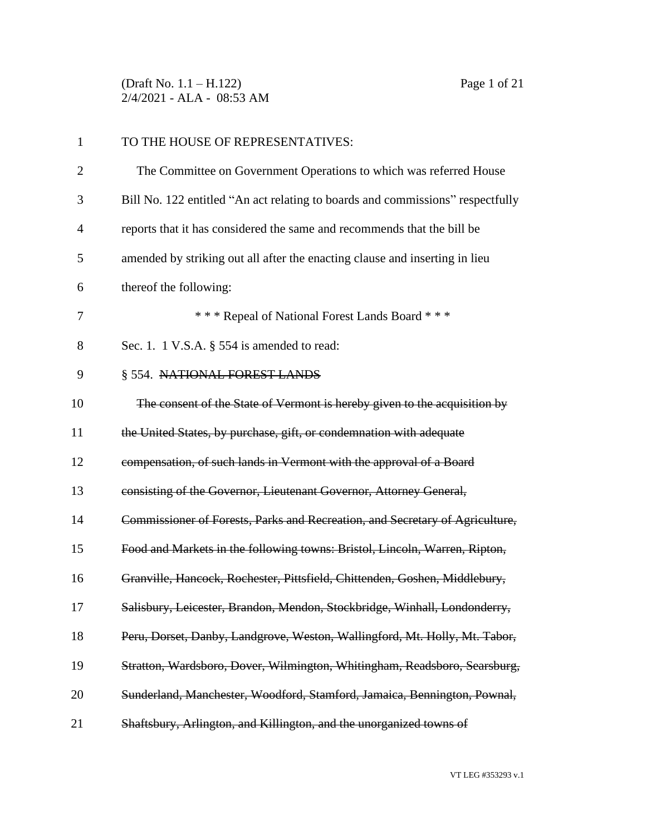(Draft No. 1.1 – H.122) Page 1 of 21 2/4/2021 - ALA - 08:53 AM

| $\mathbf{1}$   | TO THE HOUSE OF REPRESENTATIVES:                                               |
|----------------|--------------------------------------------------------------------------------|
| $\overline{2}$ | The Committee on Government Operations to which was referred House             |
| 3              | Bill No. 122 entitled "An act relating to boards and commissions" respectfully |
| $\overline{4}$ | reports that it has considered the same and recommends that the bill be        |
| 5              | amended by striking out all after the enacting clause and inserting in lieu    |
| 6              | thereof the following:                                                         |
| 7              | *** Repeal of National Forest Lands Board ***                                  |
| 8              | Sec. 1. 1 V.S.A. $\S$ 554 is amended to read:                                  |
| 9              | § 554. NATIONAL FOREST LANDS                                                   |
| 10             | The consent of the State of Vermont is hereby given to the acquisition by      |
| 11             | the United States, by purchase, gift, or condemnation with adequate            |
| 12             | compensation, of such lands in Vermont with the approval of a Board            |
| 13             | consisting of the Governor, Lieutenant Governor, Attorney General,             |
| 14             | Commissioner of Forests, Parks and Recreation, and Secretary of Agriculture,   |
| 15             | Food and Markets in the following towns: Bristol, Lincoln, Warren, Ripton,     |
| 16             | Granville, Hancock, Rochester, Pittsfield, Chittenden, Goshen, Middlebury,     |
| 17             | Salisbury, Leicester, Brandon, Mendon, Stockbridge, Winhall, Londonderry,      |
| 18             | Peru, Dorset, Danby, Landgrove, Weston, Wallingford, Mt. Holly, Mt. Tabor,     |
| 19             | Stratton, Wardsboro, Dover, Wilmington, Whitingham, Readsboro, Searsburg,      |
| 20             | Sunderland, Manchester, Woodford, Stamford, Jamaica, Bennington, Pownal,       |
| 21             | Shaftsbury, Arlington, and Killington, and the unorganized towns of            |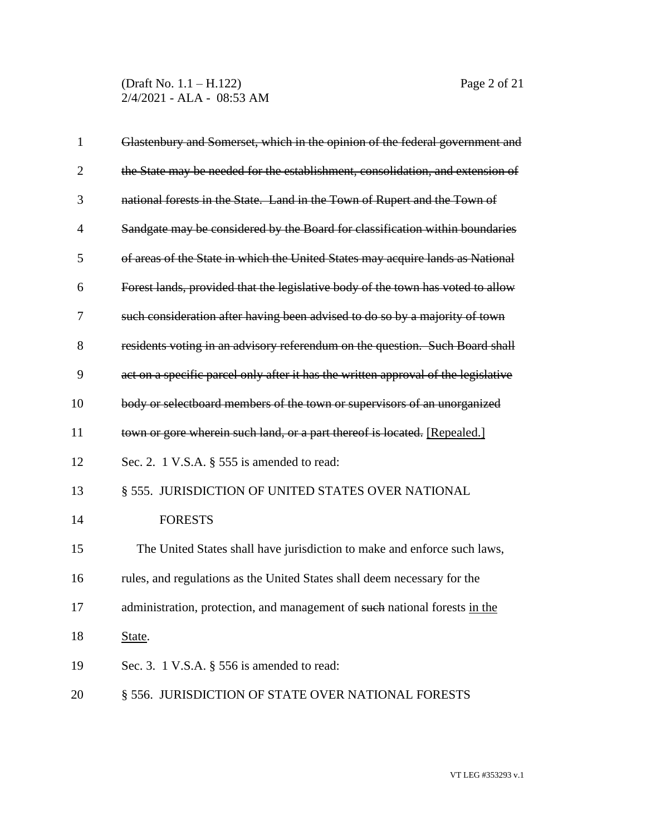(Draft No. 1.1 – H.122) Page 2 of 21 2/4/2021 - ALA - 08:53 AM

| $\mathbf{1}$   | Glastenbury and Somerset, which in the opinion of the federal government and       |
|----------------|------------------------------------------------------------------------------------|
| $\overline{2}$ | the State may be needed for the establishment, consolidation, and extension of     |
| 3              | national forests in the State. Land in the Town of Rupert and the Town of          |
| $\overline{4}$ | Sandgate may be considered by the Board for classification within boundaries       |
| 5              | of areas of the State in which the United States may acquire lands as National     |
| 6              | Forest lands, provided that the legislative body of the town has voted to allow    |
| 7              | such consideration after having been advised to do so by a majority of town        |
| 8              | residents voting in an advisory referendum on the question. Such Board shall       |
| 9              | act on a specific parcel only after it has the written approval of the legislative |
| 10             | body or selectboard members of the town or supervisors of an unorganized           |
| 11             | town or gore wherein such land, or a part thereof is located. [Repealed.]          |
| 12             | Sec. 2. 1 V.S.A. $\S$ 555 is amended to read:                                      |
| 13             | § 555. JURISDICTION OF UNITED STATES OVER NATIONAL                                 |
| 14             | <b>FORESTS</b>                                                                     |
| 15             | The United States shall have jurisdiction to make and enforce such laws,           |
| 16             | rules, and regulations as the United States shall deem necessary for the           |
| 17             | administration, protection, and management of such national forests in the         |
| 18             | State.                                                                             |
| 19             | Sec. 3. 1 V.S.A. $\S$ 556 is amended to read:                                      |
| 20             | § 556. JURISDICTION OF STATE OVER NATIONAL FORESTS                                 |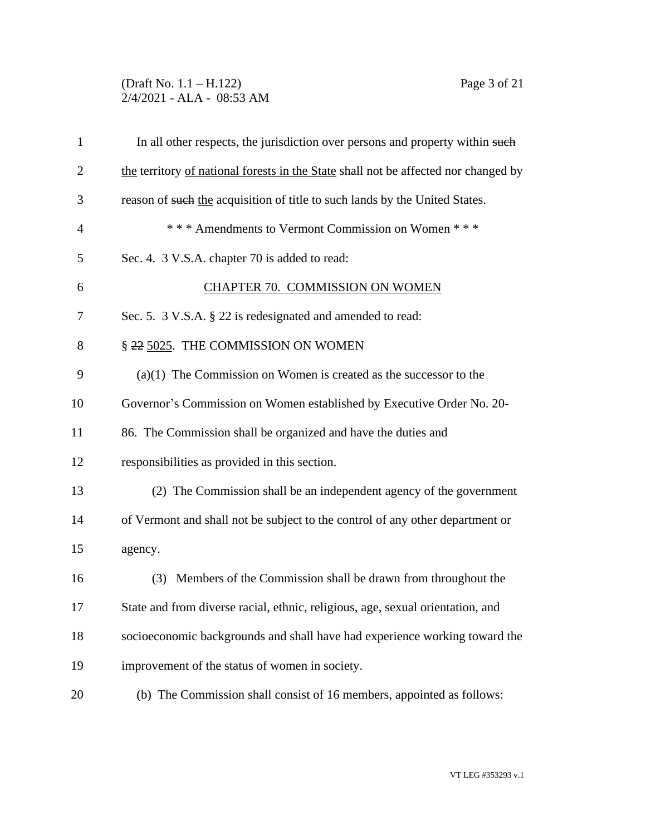### (Draft No. 1.1 – H.122) Page 3 of 21 2/4/2021 - ALA - 08:53 AM

| $\mathbf{1}$   | In all other respects, the jurisdiction over persons and property within such       |
|----------------|-------------------------------------------------------------------------------------|
| $\overline{2}$ | the territory of national forests in the State shall not be affected nor changed by |
| 3              | reason of such the acquisition of title to such lands by the United States.         |
| $\overline{4}$ | *** Amendments to Vermont Commission on Women ***                                   |
| 5              | Sec. 4. 3 V.S.A. chapter 70 is added to read:                                       |
| 6              | CHAPTER 70. COMMISSION ON WOMEN                                                     |
| 7              | Sec. 5. 3 V.S.A. § 22 is redesignated and amended to read:                          |
| 8              | § 22 5025. THE COMMISSION ON WOMEN                                                  |
| 9              | $(a)(1)$ The Commission on Women is created as the successor to the                 |
| 10             | Governor's Commission on Women established by Executive Order No. 20-               |
| 11             | 86. The Commission shall be organized and have the duties and                       |
| 12             | responsibilities as provided in this section.                                       |
| 13             | (2) The Commission shall be an independent agency of the government                 |
| 14             | of Vermont and shall not be subject to the control of any other department or       |
| 15             | agency.                                                                             |
| 16             | (3) Members of the Commission shall be drawn from throughout the                    |
| 17             | State and from diverse racial, ethnic, religious, age, sexual orientation, and      |
| 18             | socioeconomic backgrounds and shall have had experience working toward the          |
| 19             | improvement of the status of women in society.                                      |
| 20             | (b) The Commission shall consist of 16 members, appointed as follows:               |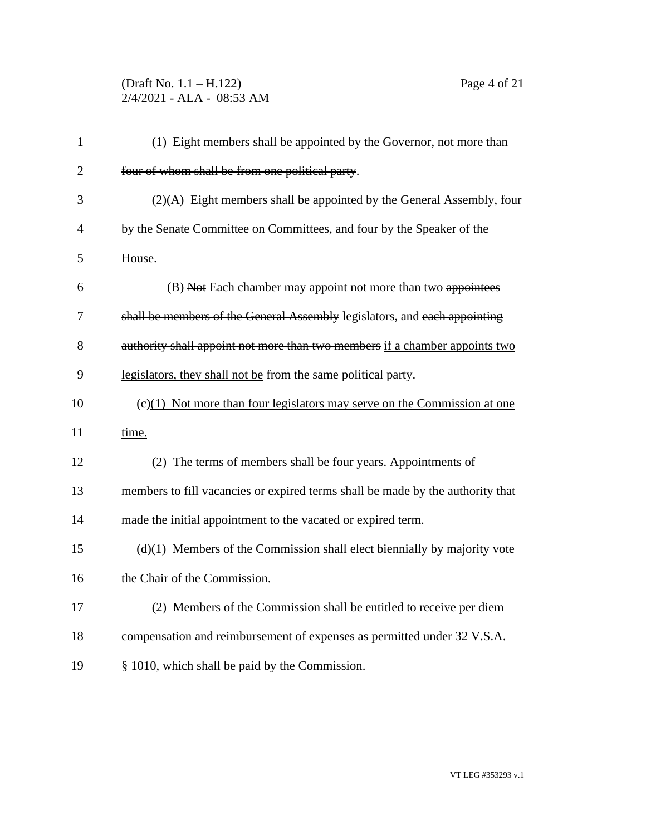# (Draft No. 1.1 – H.122) Page 4 of 21 2/4/2021 - ALA - 08:53 AM

| $\mathbf{1}$   | (1) Eight members shall be appointed by the Governor, not more than            |
|----------------|--------------------------------------------------------------------------------|
| $\overline{2}$ | four of whom shall be from one political party.                                |
| 3              | (2)(A) Eight members shall be appointed by the General Assembly, four          |
| $\overline{4}$ | by the Senate Committee on Committees, and four by the Speaker of the          |
| 5              | House.                                                                         |
| 6              | (B) Not Each chamber may appoint not more than two appointees                  |
| 7              | shall be members of the General Assembly legislators, and each appointing      |
| 8              | authority shall appoint not more than two members if a chamber appoints two    |
| 9              | legislators, they shall not be from the same political party.                  |
| 10             | $(c)(1)$ Not more than four legislators may serve on the Commission at one     |
| 11             | time.                                                                          |
| 12             | (2) The terms of members shall be four years. Appointments of                  |
| 13             | members to fill vacancies or expired terms shall be made by the authority that |
| 14             | made the initial appointment to the vacated or expired term.                   |
| 15             | $(d)(1)$ Members of the Commission shall elect biennially by majority vote     |
| 16             | the Chair of the Commission.                                                   |
| 17             | (2) Members of the Commission shall be entitled to receive per diem            |
| 18             | compensation and reimbursement of expenses as permitted under 32 V.S.A.        |
| 19             | § 1010, which shall be paid by the Commission.                                 |
|                |                                                                                |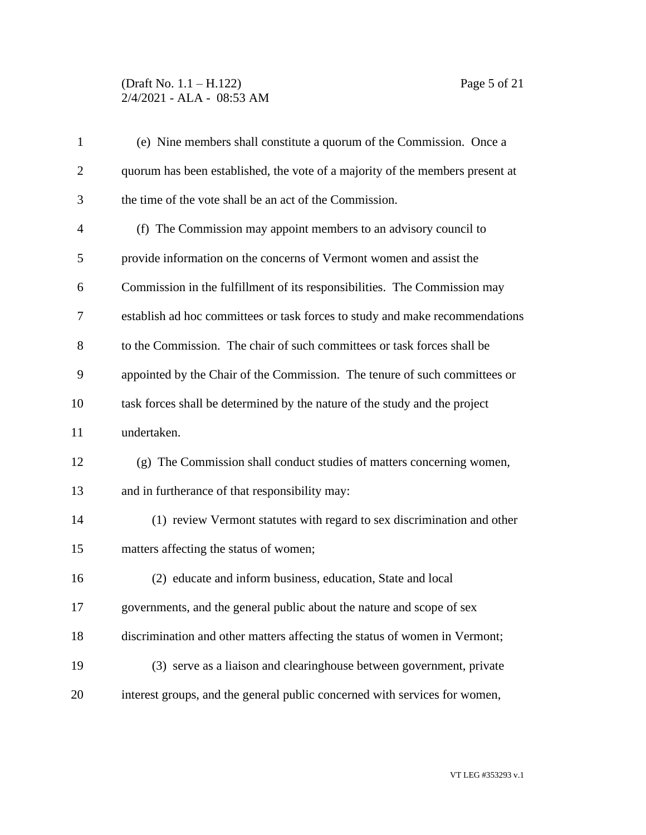# (Draft No. 1.1 – H.122) Page 5 of 21 2/4/2021 - ALA - 08:53 AM

| $\mathbf{1}$   | (e) Nine members shall constitute a quorum of the Commission. Once a          |
|----------------|-------------------------------------------------------------------------------|
| $\overline{2}$ | quorum has been established, the vote of a majority of the members present at |
| 3              | the time of the vote shall be an act of the Commission.                       |
| $\overline{4}$ | (f) The Commission may appoint members to an advisory council to              |
| 5              | provide information on the concerns of Vermont women and assist the           |
| 6              | Commission in the fulfillment of its responsibilities. The Commission may     |
| 7              | establish ad hoc committees or task forces to study and make recommendations  |
| 8              | to the Commission. The chair of such committees or task forces shall be       |
| 9              | appointed by the Chair of the Commission. The tenure of such committees or    |
| 10             | task forces shall be determined by the nature of the study and the project    |
| 11             | undertaken.                                                                   |
| 12             | (g) The Commission shall conduct studies of matters concerning women,         |
| 13             | and in furtherance of that responsibility may:                                |
| 14             | (1) review Vermont statutes with regard to sex discrimination and other       |
| 15             | matters affecting the status of women;                                        |
| 16             | (2) educate and inform business, education, State and local                   |
| 17             | governments, and the general public about the nature and scope of sex         |
| 18             | discrimination and other matters affecting the status of women in Vermont;    |
| 19             | (3) serve as a liaison and clearinghouse between government, private          |
| 20             | interest groups, and the general public concerned with services for women,    |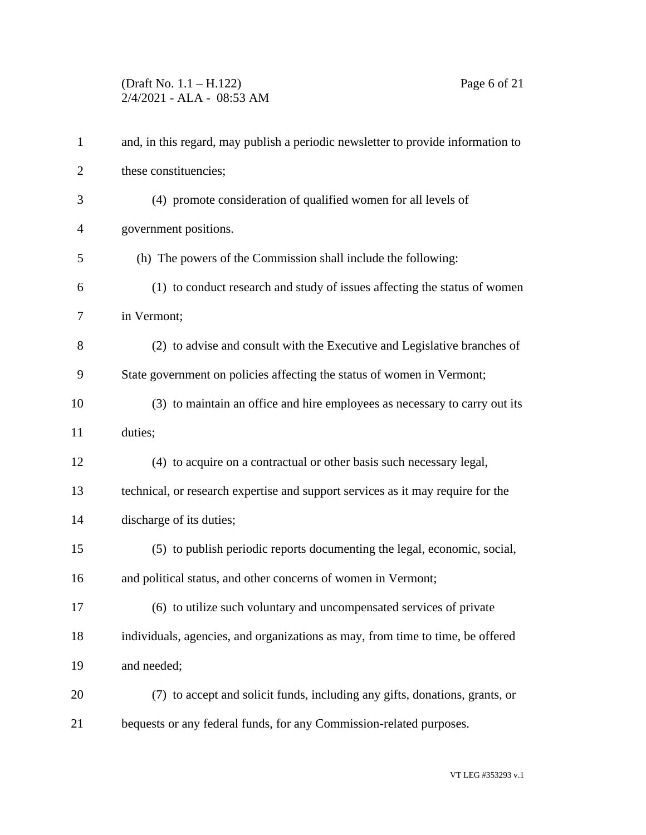# (Draft No. 1.1 – H.122) Page 6 of 21 2/4/2021 - ALA - 08:53 AM

| $\mathbf{1}$   | and, in this regard, may publish a periodic newsletter to provide information to |
|----------------|----------------------------------------------------------------------------------|
| $\overline{2}$ | these constituencies;                                                            |
| 3              | (4) promote consideration of qualified women for all levels of                   |
| $\overline{4}$ | government positions.                                                            |
| 5              | (h) The powers of the Commission shall include the following:                    |
| 6              | (1) to conduct research and study of issues affecting the status of women        |
| 7              | in Vermont;                                                                      |
| 8              | (2) to advise and consult with the Executive and Legislative branches of         |
| 9              | State government on policies affecting the status of women in Vermont;           |
| 10             | (3) to maintain an office and hire employees as necessary to carry out its       |
| 11             | duties;                                                                          |
| 12             | (4) to acquire on a contractual or other basis such necessary legal,             |
| 13             | technical, or research expertise and support services as it may require for the  |
| 14             | discharge of its duties;                                                         |
| 15             | (5) to publish periodic reports documenting the legal, economic, social,         |
| 16             | and political status, and other concerns of women in Vermont;                    |
| 17             | (6) to utilize such voluntary and uncompensated services of private              |
| 18             | individuals, agencies, and organizations as may, from time to time, be offered   |
| 19             | and needed;                                                                      |
| 20             | (7) to accept and solicit funds, including any gifts, donations, grants, or      |
| 21             | bequests or any federal funds, for any Commission-related purposes.              |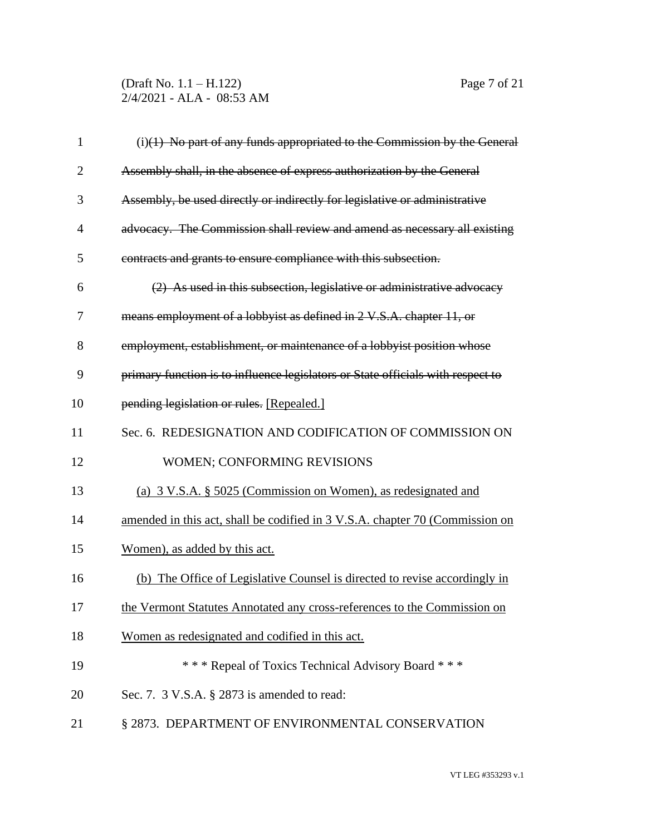(Draft No. 1.1 – H.122) Page 7 of 21 2/4/2021 - ALA - 08:53 AM

| $\mathbf{1}$   | $(i)(1)$ No part of any funds appropriated to the Commission by the General     |
|----------------|---------------------------------------------------------------------------------|
| $\overline{2}$ | Assembly shall, in the absence of express authorization by the General          |
| 3              | Assembly, be used directly or indirectly for legislative or administrative      |
| 4              | advocacy. The Commission shall review and amend as necessary all existing       |
| 5              | contracts and grants to ensure compliance with this subsection.                 |
| 6              | (2) As used in this subsection, legislative or administrative advocacy          |
| 7              | means employment of a lobbyist as defined in 2 V.S.A. chapter 11, or            |
| 8              | employment, establishment, or maintenance of a lobbyist position whose          |
| 9              | primary function is to influence legislators or State officials with respect to |
| 10             | pending legislation or rules. [Repealed.]                                       |
| 11             | Sec. 6. REDESIGNATION AND CODIFICATION OF COMMISSION ON                         |
| 12             | <b>WOMEN: CONFORMING REVISIONS</b>                                              |
| 13             | (a) 3 V.S.A. § 5025 (Commission on Women), as redesignated and                  |
| 14             | amended in this act, shall be codified in 3 V.S.A. chapter 70 (Commission on    |
| 15             | Women), as added by this act.                                                   |
| 16             | (b) The Office of Legislative Counsel is directed to revise accordingly in      |
| 17             | the Vermont Statutes Annotated any cross-references to the Commission on        |
| 18             | Women as redesignated and codified in this act.                                 |
| 19             | *** Repeal of Toxics Technical Advisory Board ***                               |
| 20             | Sec. 7. 3 V.S.A. § 2873 is amended to read:                                     |
| 21             | § 2873. DEPARTMENT OF ENVIRONMENTAL CONSERVATION                                |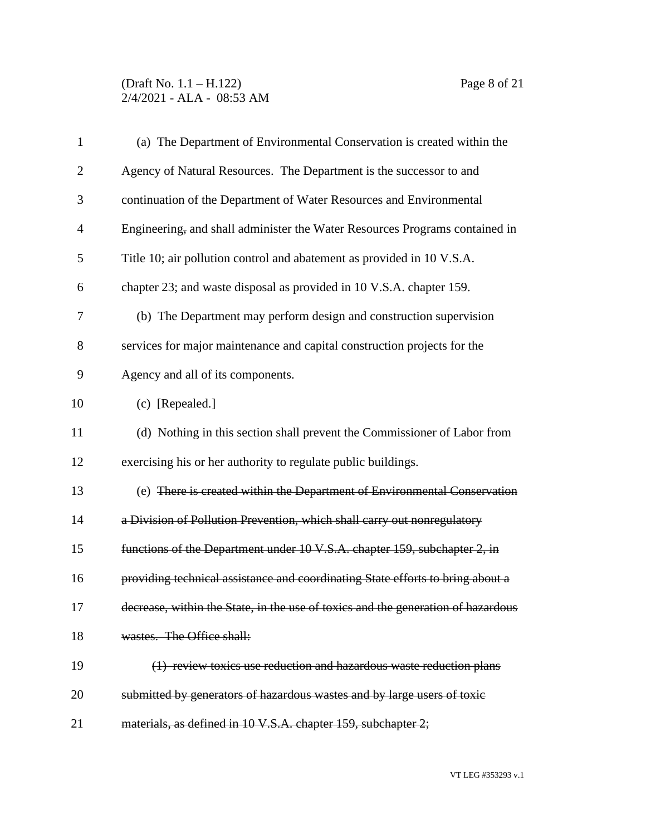## (Draft No. 1.1 – H.122) Page 8 of 21 2/4/2021 - ALA - 08:53 AM

| $\mathbf{1}$   | (a) The Department of Environmental Conservation is created within the           |
|----------------|----------------------------------------------------------------------------------|
| $\overline{c}$ | Agency of Natural Resources. The Department is the successor to and              |
| 3              | continuation of the Department of Water Resources and Environmental              |
| 4              | Engineering, and shall administer the Water Resources Programs contained in      |
| 5              | Title 10; air pollution control and abatement as provided in 10 V.S.A.           |
| 6              | chapter 23; and waste disposal as provided in 10 V.S.A. chapter 159.             |
| 7              | (b) The Department may perform design and construction supervision               |
| 8              | services for major maintenance and capital construction projects for the         |
| 9              | Agency and all of its components.                                                |
| 10             | (c) [Repealed.]                                                                  |
| 11             | (d) Nothing in this section shall prevent the Commissioner of Labor from         |
| 12             | exercising his or her authority to regulate public buildings.                    |
| 13             | (e) There is created within the Department of Environmental Conservation         |
| 14             | a Division of Pollution Prevention, which shall carry out nonregulatory          |
| 15             | functions of the Department under 10 V.S.A. chapter 159, subchapter 2, in        |
| 16             | providing technical assistance and coordinating State efforts to bring about a   |
| 17             | decrease, within the State, in the use of toxics and the generation of hazardous |
| 18             | wastes. The Office shall:                                                        |
| 19             | (1) review toxics use reduction and hazardous waste reduction plans              |
| 20             | submitted by generators of hazardous wastes and by large users of toxic          |
| 21             | materials, as defined in 10 V.S.A. chapter 159, subchapter 2;                    |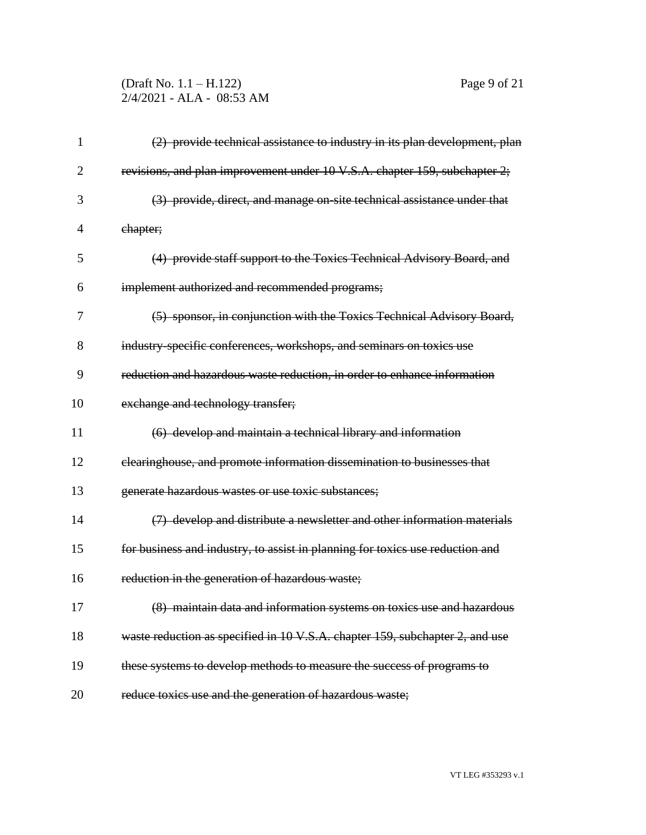## (Draft No. 1.1 – H.122) Page 9 of 21 2/4/2021 - ALA - 08:53 AM

| 1              | (2) provide technical assistance to industry in its plan development, plan    |
|----------------|-------------------------------------------------------------------------------|
| $\overline{2}$ | revisions, and plan improvement under 10 V.S.A. chapter 159, subchapter 2;    |
| 3              | (3) provide, direct, and manage on site technical assistance under that       |
| 4              | ehapter;                                                                      |
| 5              | (4) provide staff support to the Toxics Technical Advisory Board, and         |
| 6              | implement authorized and recommended programs;                                |
| 7              | (5) sponsor, in conjunction with the Toxics Technical Advisory Board,         |
| 8              | industry-specific conferences, workshops, and seminars on toxics use          |
| 9              | reduction and hazardous waste reduction, in order to enhance information      |
| 10             | exchange and technology transfer;                                             |
| 11             | (6) develop and maintain a technical library and information                  |
| 12             | clearinghouse, and promote information dissemination to businesses that       |
| 13             | generate hazardous wastes or use toxic substances;                            |
| 14             | (7) develop and distribute a newsletter and other information materials       |
| 15             | for business and industry, to assist in planning for toxics use reduction and |
| 16             | reduction in the generation of hazardous waste;                               |
| 17             | (8) maintain data and information systems on toxics use and hazardous         |
| 18             | waste reduction as specified in 10 V.S.A. chapter 159, subchapter 2, and use  |
| 19             | these systems to develop methods to measure the success of programs to        |
| 20             | reduce toxics use and the generation of hazardous waste;                      |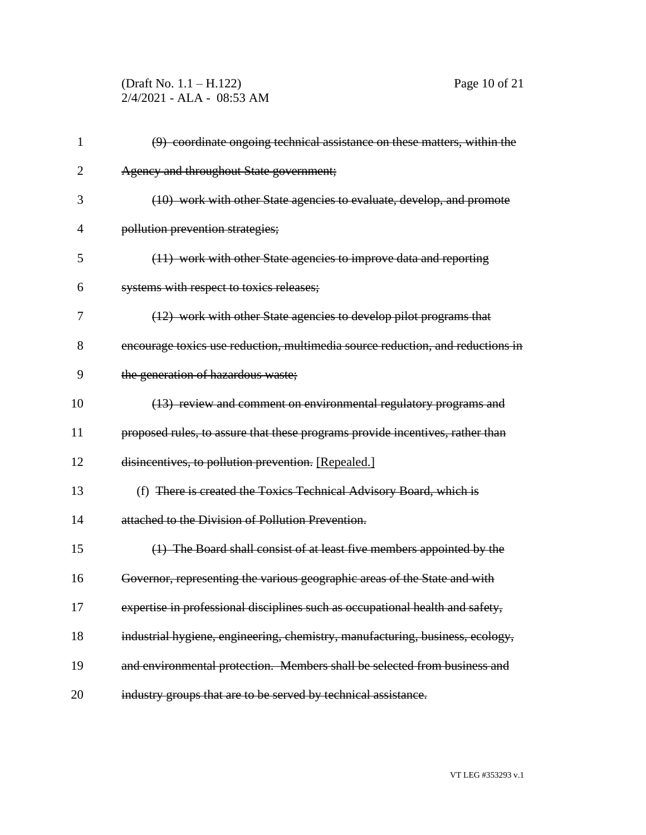(Draft No. 1.1 – H.122) Page 10 of 21 2/4/2021 - ALA - 08:53 AM

| $\mathbf{1}$ | (9) coordinate ongoing technical assistance on these matters, within the       |
|--------------|--------------------------------------------------------------------------------|
| 2            | Agency and throughout State government;                                        |
| 3            | (10) work with other State agencies to evaluate, develop, and promote          |
| 4            | pollution prevention strategies;                                               |
| 5            | (11) work with other State agencies to improve data and reporting              |
| 6            | systems with respect to toxics releases;                                       |
| 7            | (12) work with other State agencies to develop pilot programs that             |
| 8            | encourage toxics use reduction, multimedia source reduction, and reductions in |
| 9            | the generation of hazardous waste;                                             |
| 10           | (13) review and comment on environmental regulatory programs and               |
| 11           | proposed rules, to assure that these programs provide incentives, rather than  |
| 12           | disincentives, to pollution prevention. [Repealed.]                            |
| 13           | (f) There is created the Toxics Technical Advisory Board, which is             |
| 14           | attached to the Division of Pollution Prevention.                              |
| 15           | (1) The Board shall consist of at least five members appointed by the          |
| 16           | Governor, representing the various geographic areas of the State and with      |
| 17           | expertise in professional disciplines such as occupational health and safety,  |
| 18           | industrial hygiene, engineering, chemistry, manufacturing, business, ecology,  |
| 19           | and environmental protection. Members shall be selected from business and      |
| 20           | industry groups that are to be served by technical assistance.                 |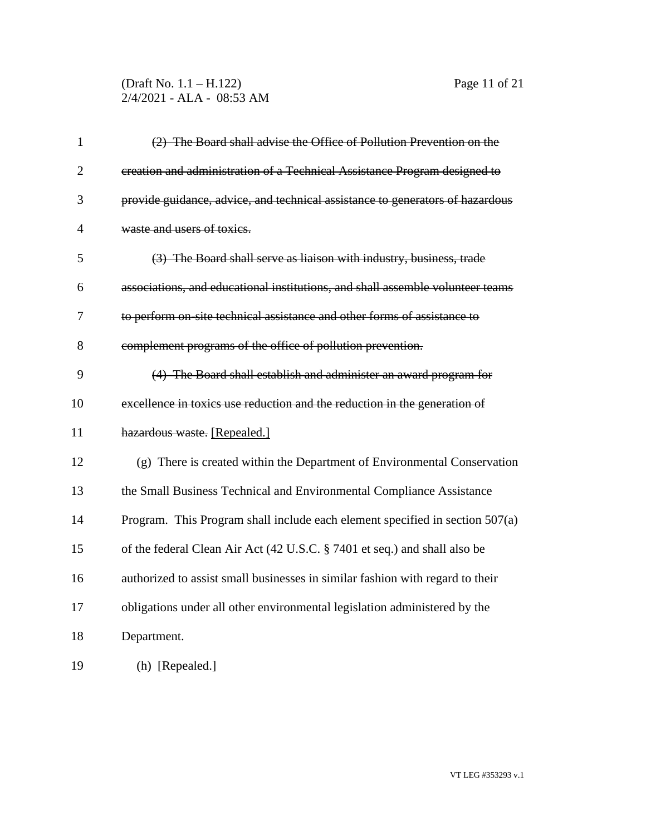## (Draft No. 1.1 – H.122) Page 11 of 21 2/4/2021 - ALA - 08:53 AM

| $\mathbf{1}$   | (2) The Board shall advise the Office of Pollution Prevention on the           |
|----------------|--------------------------------------------------------------------------------|
| $\overline{2}$ | ereation and administration of a Technical Assistance Program designed to      |
| 3              | provide guidance, advice, and technical assistance to generators of hazardous  |
| $\overline{4}$ | waste and users of toxics.                                                     |
| 5              | (3) The Board shall serve as liaison with industry, business, trade            |
| 6              | associations, and educational institutions, and shall assemble volunteer teams |
| 7              | to perform on-site technical assistance and other forms of assistance to       |
| 8              | complement programs of the office of pollution prevention.                     |
| 9              | (4) The Board shall establish and administer an award program for              |
| 10             | excellence in toxics use reduction and the reduction in the generation of      |
| 11             | hazardous waste. [Repealed.]                                                   |
| 12             | (g) There is created within the Department of Environmental Conservation       |
| 13             | the Small Business Technical and Environmental Compliance Assistance           |
| 14             | Program. This Program shall include each element specified in section $507(a)$ |
| 15             | of the federal Clean Air Act (42 U.S.C. § 7401 et seq.) and shall also be      |
| 16             | authorized to assist small businesses in similar fashion with regard to their  |
| 17             | obligations under all other environmental legislation administered by the      |
| 18             | Department.                                                                    |
| 19             | (h) [Repealed.]                                                                |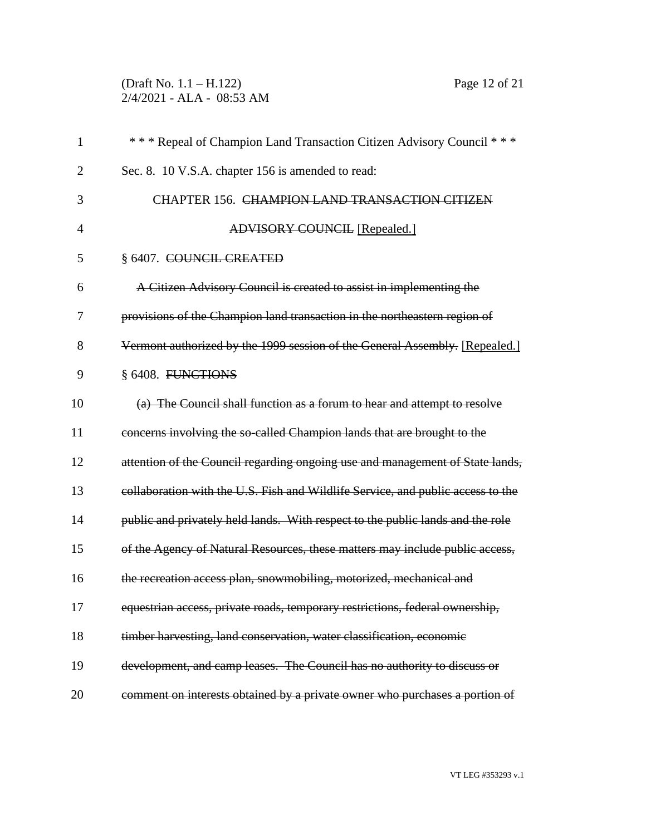(Draft No. 1.1 – H.122) Page 12 of 21 2/4/2021 - ALA - 08:53 AM

| $\mathbf{1}$   | *** Repeal of Champion Land Transaction Citizen Advisory Council ***            |
|----------------|---------------------------------------------------------------------------------|
| 2              | Sec. 8. 10 V.S.A. chapter 156 is amended to read:                               |
| 3              | CHAPTER 156. CHAMPION LAND TRANSACTION CITIZEN                                  |
| $\overline{4}$ | <b>ADVISORY COUNCIL [Repealed.]</b>                                             |
| 5              | § 6407. COUNCIL CREATED                                                         |
| 6              | A Citizen Advisory Council is created to assist in implementing the             |
| 7              | provisions of the Champion land transaction in the northeastern region of       |
| 8              | Vermont authorized by the 1999 session of the General Assembly. [Repealed.]     |
| 9              | § 6408. FUNCTIONS                                                               |
| 10             | (a) The Council shall function as a forum to hear and attempt to resolve        |
| 11             | concerns involving the so-called Champion lands that are brought to the         |
| 12             | attention of the Council regarding ongoing use and management of State lands,   |
| 13             | collaboration with the U.S. Fish and Wildlife Service, and public access to the |
| 14             | public and privately held lands. With respect to the public lands and the role  |
| 15             | of the Agency of Natural Resources, these matters may include public access,    |
| 16             | the recreation access plan, snowmobiling, motorized, mechanical and             |
| 17             | equestrian access, private roads, temporary restrictions, federal ownership,    |
| 18             | timber harvesting, land conservation, water classification, economic            |
| 19             | development, and camp leases. The Council has no authority to discuss or        |
| 20             | comment on interests obtained by a private owner who purchases a portion of     |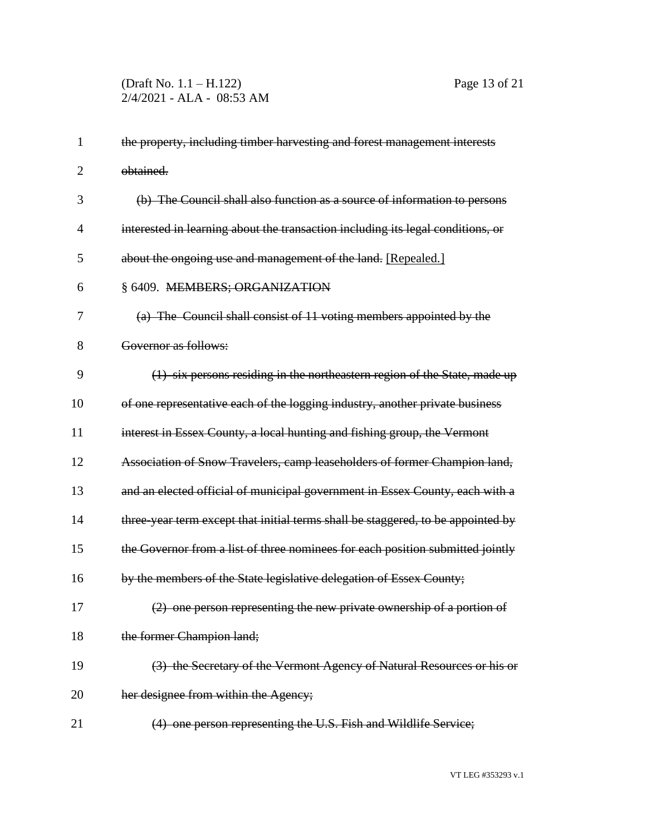| $\mathbf{1}$   | the property, including timber harvesting and forest management interests        |
|----------------|----------------------------------------------------------------------------------|
| $\overline{2}$ | obtained.                                                                        |
| 3              | (b) The Council shall also function as a source of information to persons        |
| 4              | interested in learning about the transaction including its legal conditions, or  |
| 5              | about the ongoing use and management of the land. [Repealed.]                    |
| 6              | § 6409. MEMBERS; ORGANIZATION                                                    |
| 7              | (a) The Council shall consist of 11 voting members appointed by the              |
| 8              | Governor as follows:                                                             |
| 9              | (1) six persons residing in the northeastern region of the State, made up        |
| 10             | of one representative each of the logging industry, another private business     |
| 11             | interest in Essex County, a local hunting and fishing group, the Vermont         |
| 12             | Association of Snow Travelers, camp leaseholders of former Champion land,        |
| 13             | and an elected official of municipal government in Essex County, each with a     |
| 14             | three-year term except that initial terms shall be staggered, to be appointed by |
| 15             | the Governor from a list of three nominees for each position submitted jointly   |
| 16             | by the members of the State legislative delegation of Essex County;              |
| 17             | (2) one person representing the new private ownership of a portion of            |
| 18             | the former Champion land;                                                        |
| 19             | (3) the Secretary of the Vermont Agency of Natural Resources or his or           |
| 20             | her designee from within the Agency;                                             |
| 21             | (4) one person representing the U.S. Fish and Wildlife Service;                  |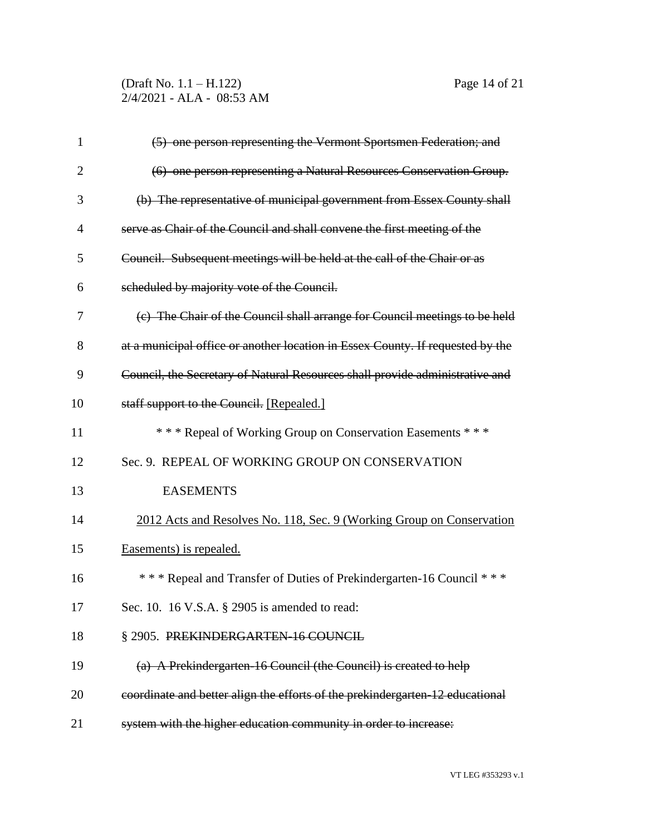(Draft No. 1.1 – H.122) Page 14 of 21 2/4/2021 - ALA - 08:53 AM

| $\mathbf{1}$   | (5) one person representing the Vermont Sportsmen Federation; and              |
|----------------|--------------------------------------------------------------------------------|
| $\overline{2}$ | (6) one person representing a Natural Resources Conservation Group.            |
| 3              | (b) The representative of municipal government from Essex County shall         |
| 4              | serve as Chair of the Council and shall convene the first meeting of the       |
| 5              | Council. Subsequent meetings will be held at the call of the Chair or as       |
| 6              | scheduled by majority vote of the Council.                                     |
| 7              | (e) The Chair of the Council shall arrange for Council meetings to be held     |
| 8              | at a municipal office or another location in Essex County. If requested by the |
| 9              | Council, the Secretary of Natural Resources shall provide administrative and   |
| 10             | staff support to the Council. [Repealed.]                                      |
| 11             | *** Repeal of Working Group on Conservation Easements ***                      |
| 12             | Sec. 9. REPEAL OF WORKING GROUP ON CONSERVATION                                |
| 13             | <b>EASEMENTS</b>                                                               |
| 14             | 2012 Acts and Resolves No. 118, Sec. 9 (Working Group on Conservation          |
| 15             | Easements) is repealed.                                                        |
| 16             | *** Repeal and Transfer of Duties of Prekindergarten-16 Council ***            |
| 17             | Sec. 10. 16 V.S.A. § 2905 is amended to read:                                  |
| 18             | § 2905. PREKINDERGARTEN-16 COUNCIL                                             |
| 19             | (a) A Prekindergarten 16 Council (the Council) is created to help              |
| 20             | coordinate and better align the efforts of the prekindergarten-12 educational  |
| 21             | system with the higher education community in order to increase:               |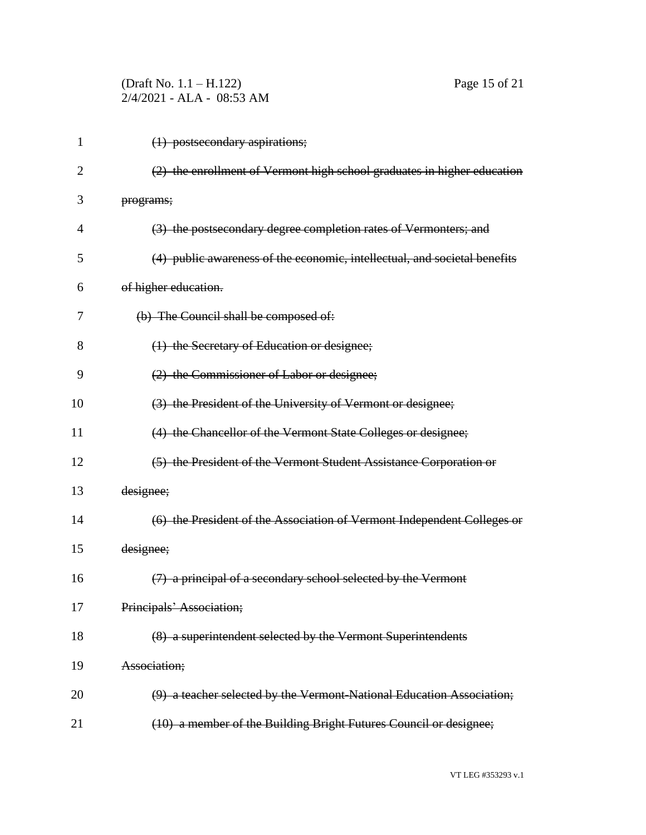| (Draft No. $1.1 - H.122$ ) |                           |
|----------------------------|---------------------------|
|                            | 2/4/2021 - ALA - 08:53 AM |

(1) postsecondary aspirations;

| سمثلهم وبالمصادع والمثولية والمستحدث وسمال |  |  |  |
|--------------------------------------------|--|--|--|

Page 15 of 21

| $\overline{2}$ | (2) the enrollment of Vermont high school graduates in higher education   |
|----------------|---------------------------------------------------------------------------|
| 3              | programs;                                                                 |
| 4              | (3) the postsecondary degree completion rates of Vermonters; and          |
| 5              | (4) public awareness of the economic, intellectual, and societal benefits |
| 6              | of higher education.                                                      |
| 7              | (b) The Council shall be composed of:                                     |
| 8              | (1) the Secretary of Education or designee;                               |
| 9              | (2) the Commissioner of Labor or designee;                                |
| 10             | (3) the President of the University of Vermont or designee;               |
| 11             | (4) the Chancellor of the Vermont State Colleges or designee;             |
| 12             | (5) the President of the Vermont Student Assistance Corporation or        |
| 13             | designee;                                                                 |
| 14             | (6) the President of the Association of Vermont Independent Colleges or   |
| 15             | designee;                                                                 |
| 16             | (7) a principal of a secondary school selected by the Vermont             |
| 17             | Principals' Association;                                                  |
| 18             | (8) a superintendent selected by the Vermont Superintendents              |
| 19             | Association;                                                              |
| 20             | (9) a teacher selected by the Vermont-National Education Association;     |
| 21             | (10) a member of the Building Bright Futures Council or designee;         |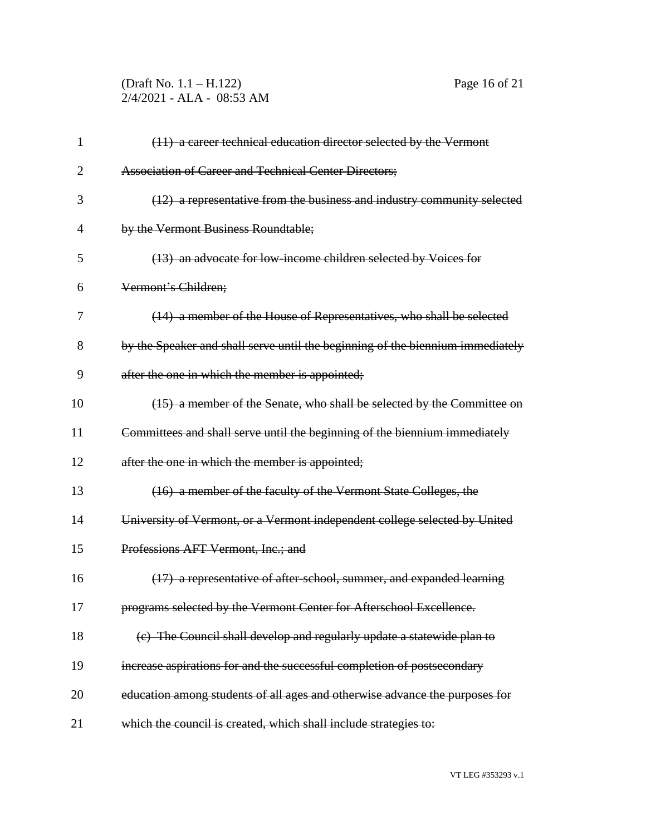(Draft No. 1.1 – H.122) Page 16 of 21 2/4/2021 - ALA - 08:53 AM

| $\mathbf{1}$   | (11) a career technical education director selected by the Vermont             |
|----------------|--------------------------------------------------------------------------------|
| $\overline{2}$ | <b>Association of Career and Technical Center Directors;</b>                   |
| 3              | (12) a representative from the business and industry community selected        |
| $\overline{4}$ | by the Vermont Business Roundtable;                                            |
| 5              | (13) an advocate for low-income children selected by Voices for                |
| 6              | Vermont's Children;                                                            |
| 7              | (14) a member of the House of Representatives, who shall be selected           |
| 8              | by the Speaker and shall serve until the beginning of the biennium immediately |
| 9              | after the one in which the member is appointed;                                |
| 10             | (15) a member of the Senate, who shall be selected by the Committee on         |
| 11             | Committees and shall serve until the beginning of the biennium immediately     |
| 12             | after the one in which the member is appointed;                                |
| 13             | (16) a member of the faculty of the Vermont State Colleges, the                |
| 14             | University of Vermont, or a Vermont independent college selected by United     |
| 15             | Professions AFT Vermont, Inc.; and                                             |
| 16             | (17) a representative of after-school, summer, and expanded learning           |
| 17             | programs selected by the Vermont Center for Afterschool Excellence.            |
| 18             | (c) The Council shall develop and regularly update a statewide plan to         |
| 19             | increase aspirations for and the successful completion of postsecondary        |
| 20             | education among students of all ages and otherwise advance the purposes for    |
| 21             | which the council is created, which shall include strategies to:               |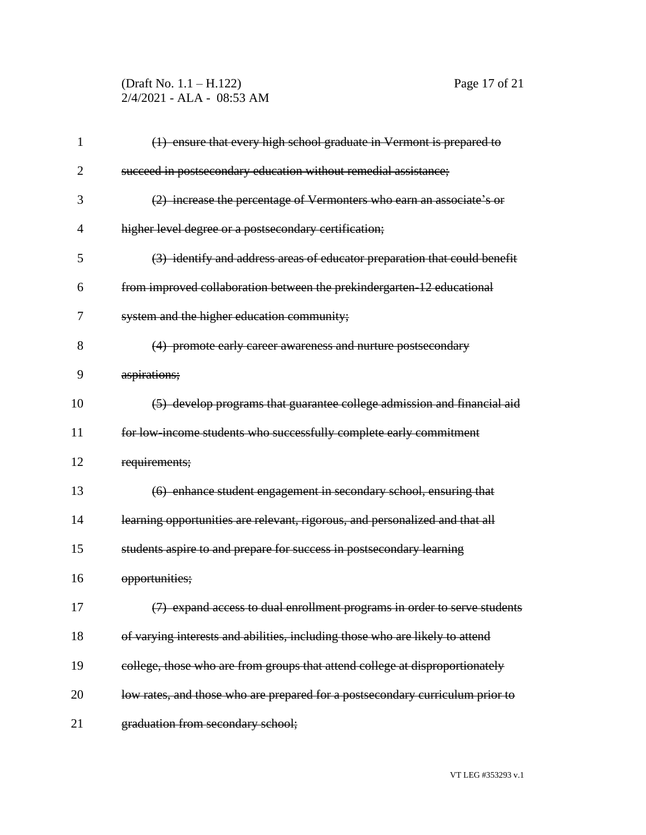### (Draft No. 1.1 – H.122) Page 17 of 21 2/4/2021 - ALA - 08:53 AM

| $\mathbf{1}$ | (1) ensure that every high school graduate in Vermont is prepared to          |
|--------------|-------------------------------------------------------------------------------|
| 2            | succeed in postsecondary education without remedial assistance;               |
| 3            | (2) increase the percentage of Vermonters who earn an associate's or          |
| 4            | higher level degree or a postsecondary certification;                         |
| 5            | (3) identify and address areas of educator preparation that could benefit     |
| 6            | from improved collaboration between the prekindergarten 12 educational        |
| 7            | system and the higher education community;                                    |
| 8            | (4) promote early career awareness and nurture postsecondary                  |
| 9            | aspirations;                                                                  |
| 10           | (5) develop programs that guarantee college admission and financial aid       |
| 11           | for low income students who successfully complete early commitment            |
| 12           | requirements;                                                                 |
| 13           | (6) enhance student engagement in secondary school, ensuring that             |
| 14           | learning opportunities are relevant, rigorous, and personalized and that all  |
| 15           | students aspire to and prepare for success in postsecondary learning          |
| 16           | opportunities;                                                                |
| 17           | (7) expand access to dual enrollment programs in order to serve students      |
| 18           | of varying interests and abilities, including those who are likely to attend  |
| 19           | college, those who are from groups that attend college at disproportionately  |
| 20           | low rates, and those who are prepared for a postsecondary curriculum prior to |
| 21           | graduation from secondary school;                                             |
|              |                                                                               |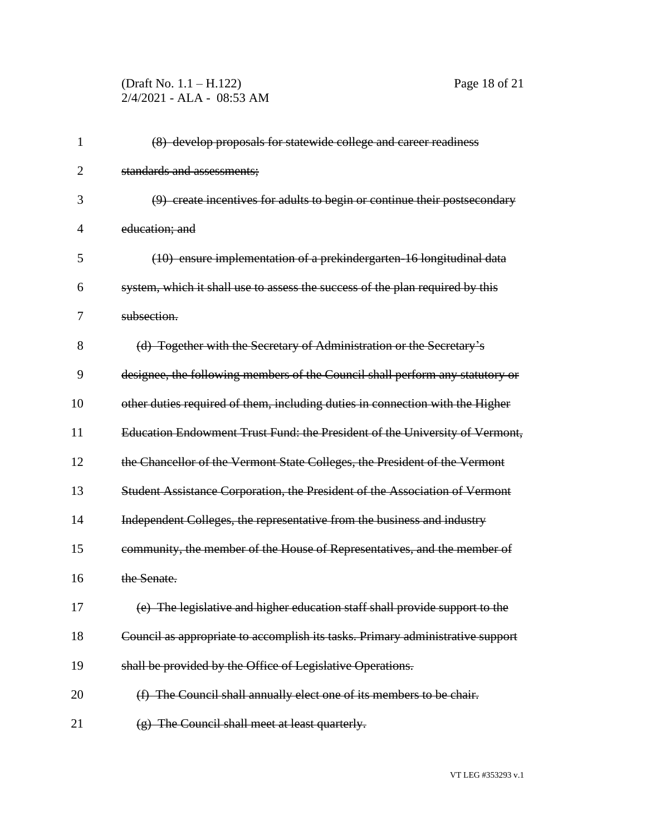# (Draft No. 1.1 – H.122) Page 18 of 21 2/4/2021 - ALA - 08:53 AM

| 1              | (8) develop proposals for statewide college and career readiness               |
|----------------|--------------------------------------------------------------------------------|
| $\overline{2}$ | standards and assessments;                                                     |
| 3              | (9) create incentives for adults to begin or continue their postsecondary      |
| 4              | education; and                                                                 |
| 5              | (10) ensure implementation of a prekindergarten 16 longitudinal data           |
| 6              | system, which it shall use to assess the success of the plan required by this  |
| 7              | subsection.                                                                    |
| 8              | (d) Together with the Secretary of Administration or the Secretary's           |
| 9              | designee, the following members of the Council shall perform any statutory or  |
| 10             | other duties required of them, including duties in connection with the Higher  |
| 11             | Education Endowment Trust Fund: the President of the University of Vermont,    |
| 12             | the Chancellor of the Vermont State Colleges, the President of the Vermont     |
| 13             | Student Assistance Corporation, the President of the Association of Vermont    |
| 14             | Independent Colleges, the representative from the business and industry        |
| 15             | community, the member of the House of Representatives, and the member of       |
| 16             | the Senate.                                                                    |
| 17             | (e) The legislative and higher education staff shall provide support to the    |
| 18             | Council as appropriate to accomplish its tasks. Primary administrative support |
| 19             | shall be provided by the Office of Legislative Operations.                     |
| 20             | (f) The Council shall annually elect one of its members to be chair.           |
| 21             | (g) The Council shall meet at least quarterly.                                 |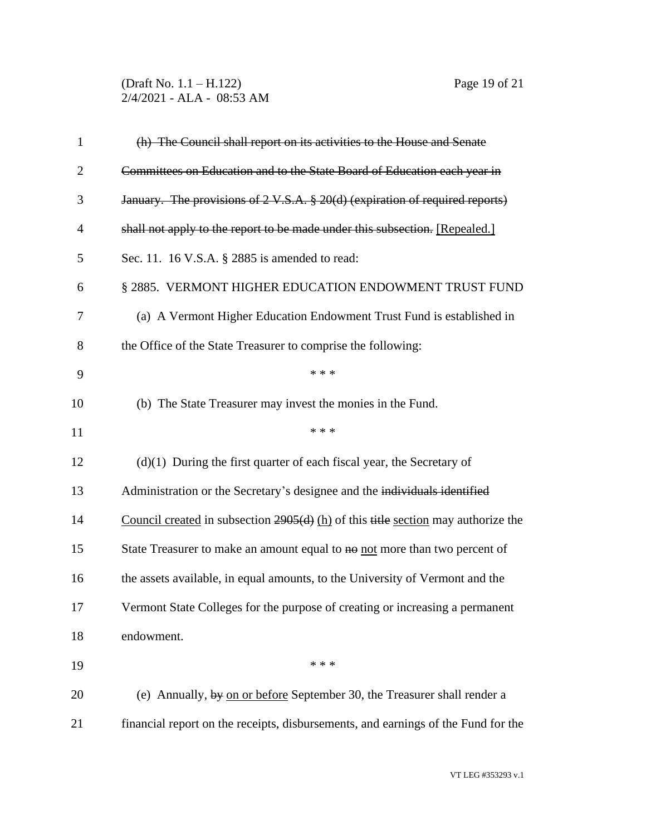(Draft No. 1.1 – H.122) Page 19 of 21 2/4/2021 - ALA - 08:53 AM

| $\mathbf{1}$   | (h) The Council shall report on its activities to the House and Senate              |
|----------------|-------------------------------------------------------------------------------------|
| $\overline{2}$ | Committees on Education and to the State Board of Education each year in            |
| 3              | January. The provisions of 2 V.S.A. § 20(d) (expiration of required reports)        |
| $\overline{4}$ | shall not apply to the report to be made under this subsection. [Repealed.]         |
| 5              | Sec. 11. 16 V.S.A. § 2885 is amended to read:                                       |
| 6              | § 2885. VERMONT HIGHER EDUCATION ENDOWMENT TRUST FUND                               |
| 7              | (a) A Vermont Higher Education Endowment Trust Fund is established in               |
| 8              | the Office of the State Treasurer to comprise the following:                        |
| 9              | * * *                                                                               |
| 10             | (b) The State Treasurer may invest the monies in the Fund.                          |
| 11             | * * *                                                                               |
| 12             | $(d)(1)$ During the first quarter of each fiscal year, the Secretary of             |
| 13             | Administration or the Secretary's designee and the individuals identified           |
| 14             | Council created in subsection $2905(d)$ (h) of this title section may authorize the |
| 15             | State Treasurer to make an amount equal to no not more than two percent of          |
| 16             | the assets available, in equal amounts, to the University of Vermont and the        |
| 17             | Vermont State Colleges for the purpose of creating or increasing a permanent        |
| 18             | endowment.                                                                          |
| 19             | * * *                                                                               |
| 20             | (e) Annually, by on or before September 30, the Treasurer shall render a            |
| 21             | financial report on the receipts, disbursements, and earnings of the Fund for the   |
|                |                                                                                     |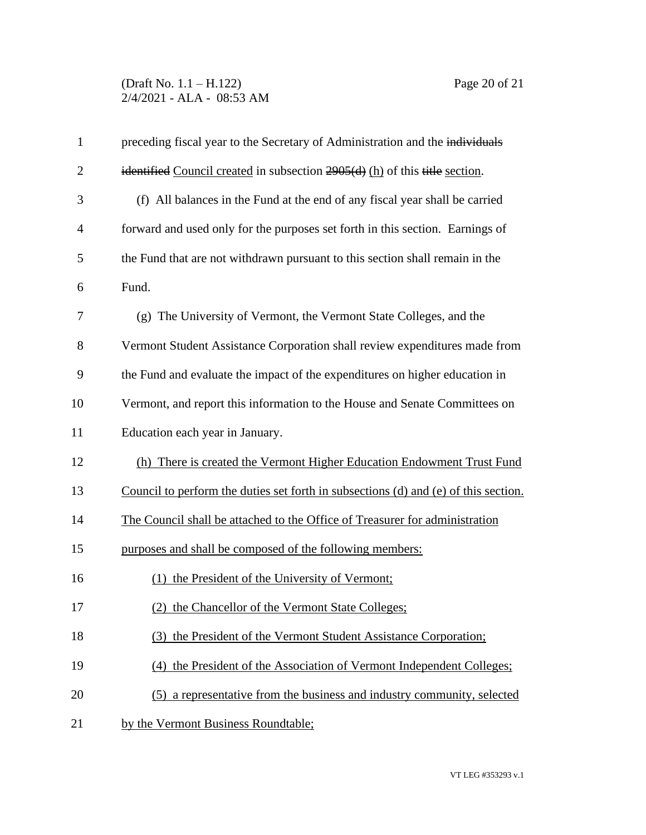## (Draft No. 1.1 – H.122) Page 20 of 21 2/4/2021 - ALA - 08:53 AM

| $\mathbf{1}$   | preceding fiscal year to the Secretary of Administration and the individuals        |
|----------------|-------------------------------------------------------------------------------------|
| $\overline{2}$ | identified Council created in subsection $2905(d)$ (h) of this title section.       |
| 3              | (f) All balances in the Fund at the end of any fiscal year shall be carried         |
| $\overline{4}$ | forward and used only for the purposes set forth in this section. Earnings of       |
| 5              | the Fund that are not withdrawn pursuant to this section shall remain in the        |
| 6              | Fund.                                                                               |
| 7              | (g) The University of Vermont, the Vermont State Colleges, and the                  |
| 8              | Vermont Student Assistance Corporation shall review expenditures made from          |
| 9              | the Fund and evaluate the impact of the expenditures on higher education in         |
| 10             | Vermont, and report this information to the House and Senate Committees on          |
| 11             | Education each year in January.                                                     |
| 12             | (h) There is created the Vermont Higher Education Endowment Trust Fund              |
| 13             | Council to perform the duties set forth in subsections (d) and (e) of this section. |
| 14             | The Council shall be attached to the Office of Treasurer for administration         |
| 15             | purposes and shall be composed of the following members:                            |
| 16             | (1) the President of the University of Vermont;                                     |
| 17             | (2) the Chancellor of the Vermont State Colleges;                                   |
| 18             | (3) the President of the Vermont Student Assistance Corporation;                    |
| 19             | (4) the President of the Association of Vermont Independent Colleges;               |
| 20             | (5) a representative from the business and industry community, selected             |
| 21             | by the Vermont Business Roundtable;                                                 |